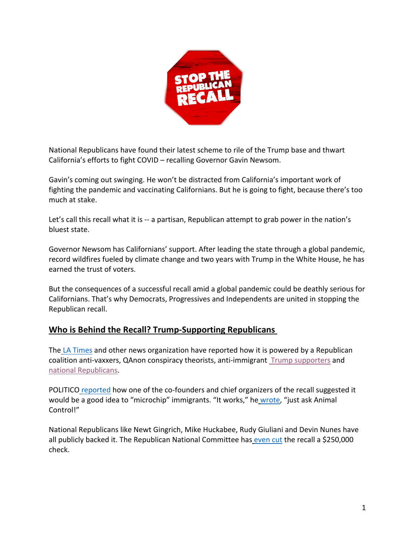

National Republicans have found their latest scheme to rile of the Trump base and thwart California's efforts to fight COVID – recalling Governor Gavin Newsom.

Gavin's coming out swinging. He won't be distracted from California's important work of fighting the pandemic and vaccinating Californians. But he is going to fight, because there's too much at stake.

Let's call this recall what it is -- a partisan, Republican attempt to grab power in the nation's bluest state.

Governor Newsom has Californians' support. After leading the state through a global pandemic, record wildfires fueled by climate change and two years with Trump in the White House, he has earned the trust of voters.

But the consequences of a successful recall amid a global pandemic could be deathly serious for Californians. That's why Democrats, Progressives and Independents are united in stopping the Republican recall.

# **Who is Behind the Recall? Trump-Supporting Republicans**

The LA Times and other news organization have reported how it is powered by a Republican coalition anti-vaxxers, QAnon conspiracy theorists, anti-immigrant Trump supporters and national Republicans.

POLITICO reported how one of the co-founders and chief organizers of the recall suggested it would be a good idea to "microchip" immigrants. "It works," he wrote, "just ask Animal Control!"

National Republicans like Newt Gingrich, Mike Huckabee, Rudy Giuliani and Devin Nunes have all publicly backed it. The Republican National Committee has even cut the recall a \$250,000 check.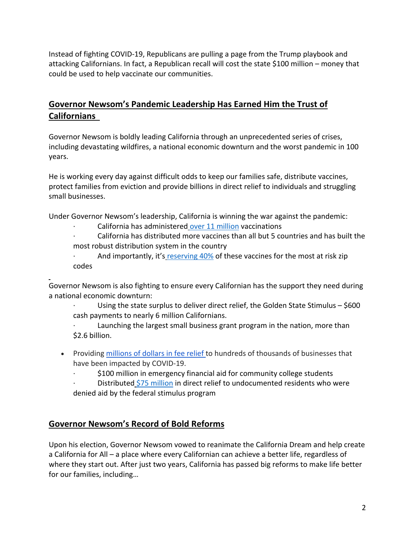Instead of fighting COVID-19, Republicans are pulling a page from the Trump playbook and attacking Californians. In fact, a Republican recall will cost the state \$100 million – money that could be used to help vaccinate our communities.

# **Governor Newsom's Pandemic Leadership Has Earned Him the Trust of Californians**

Governor Newsom is boldly leading California through an unprecedented series of crises, including devastating wildfires, a national economic downturn and the worst pandemic in 100 years.

He is working every day against difficult odds to keep our families safe, distribute vaccines, protect families from eviction and provide billions in direct relief to individuals and struggling small businesses.

Under Governor Newsom's leadership, California is winning the war against the pandemic:

California has administered over 11 million vaccinations

· California has distributed more vaccines than all but 5 countries and has built the most robust distribution system in the country

· And importantly, it's reserving 40% of these vaccines for the most at risk zip codes

Governor Newsom is also fighting to ensure every Californian has the support they need during a national economic downturn:

Using the state surplus to deliver direct relief, the Golden State Stimulus  $-$  \$600 cash payments to nearly 6 million Californians.

Launching the largest small business grant program in the nation, more than \$2.6 billion.

• Providing millions of dollars in fee relief to hundreds of thousands of businesses that have been impacted by COVID-19.

\$100 million in emergency financial aid for community college students

Distributed \$75 million in direct relief to undocumented residents who were denied aid by the federal stimulus program

# **Governor Newsom's Record of Bold Reforms**

Upon his election, Governor Newsom vowed to reanimate the California Dream and help create a California for All – a place where every Californian can achieve a better life, regardless of where they start out. After just two years, California has passed big reforms to make life better for our families, including…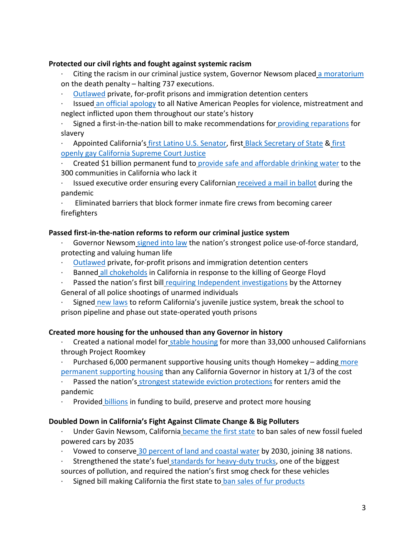#### **Protected our civil rights and fought against systemic racism**

- Citing the racism in our criminal justice system, Governor Newsom placed a moratorium on the death penalty – halting 737 executions.
- · Outlawed private, for-profit prisons and immigration detention centers
- · Issued an official apology to all Native American Peoples for violence, mistreatment and neglect inflicted upon them throughout our state's history
- · Signed a first-in-the-nation bill to make recommendations for providing reparations for slavery

Appointed California's first Latino U.S. Senator, first Black Secretary of State & first openly gay California Supreme Court Justice

- · Created \$1 billion permanent fund to provide safe and affordable drinking water to the 300 communities in California who lack it
- Issued executive order ensuring every Californian received a mail in ballot during the pandemic
- · Eliminated barriers that block former inmate fire crews from becoming career firefighters

#### **Passed first-in-the-nation reforms to reform our criminal justice system**

- Governor Newsom signed into law the nation's strongest police use-of-force standard, protecting and valuing human life
- · Outlawed private, for-profit prisons and immigration detention centers
- Banned all chokeholds in California in response to the killing of George Floyd
- Passed the nation's first bill requiring Independent investigations by the Attorney General of all police shootings of unarmed individuals
- · Signed new laws to reform California's juvenile justice system, break the school to prison pipeline and phase out state-operated youth prisons

## **Created more housing for the unhoused than any Governor in history**

- Created a national model for stable housing for more than 33,000 unhoused Californians through Project Roomkey
- Purchased 6,000 permanent supportive housing units though Homekey adding more permanent supporting housing than any California Governor in history at 1/3 of the cost

Passed the nation's strongest statewide eviction protections for renters amid the pandemic

Provided billions in funding to build, preserve and protect more housing

#### **Doubled Down in California's Fight Against Climate Change & Big Polluters**

- Under Gavin Newsom, California became the first state to ban sales of new fossil fueled powered cars by 2035
- · Vowed to conserve 30 percent of land and coastal water by 2030, joining 38 nations.
- Strengthened the state's fuel standards for heavy-duty trucks, one of the biggest
- sources of pollution, and required the nation's first smog check for these vehicles
- Signed bill making California the first state to ban sales of fur products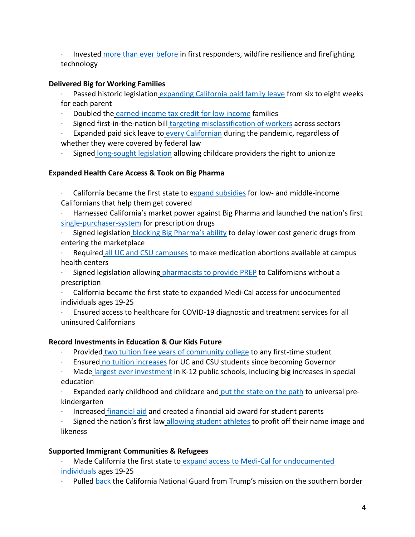· Invested more than ever before in first responders, wildfire resilience and firefighting technology

# **Delivered Big for Working Families**

Passed historic legislation expanding California paid family leave from six to eight weeks for each parent

- Doubled the earned-income tax credit for low income families
- Signed first-in-the-nation bill targeting misclassification of workers across sectors

· Expanded paid sick leave to every Californian during the pandemic, regardless of whether they were covered by federal law

Signed long-sought legislation allowing childcare providers the right to unionize

## **Expanded Health Care Access & Took on Big Pharma**

· California became the first state to expand subsidies for low- and middle-income Californians that help them get covered

- · Harnessed California's market power against Big Pharma and launched the nation's first single-purchaser-system for prescription drugs
- Signed legislation blocking Big Pharma's ability to delay lower cost generic drugs from entering the marketplace
- · Required all UC and CSU campuses to make medication abortions available at campus health centers
- · Signed legislation allowing pharmacists to provide PREP to Californians without a prescription
- · California became the first state to expanded Medi-Cal access for undocumented individuals ages 19-25
- Ensured access to healthcare for COVID-19 diagnostic and treatment services for all uninsured Californians

## **Record Investments in Education & Our Kids Future**

- · Provided two tuition free years of community college to any first-time student
- · Ensured no tuition increases for UC and CSU students since becoming Governor

Made largest ever investment in K-12 public schools, including big increases in special education

 $\cdot$  Expanded early childhood and childcare and put the state on the path to universal prekindergarten

· Increased financial aid and created a financial aid award for student parents

Signed the nation's first law allowing student athletes to profit off their name image and likeness

## **Supported Immigrant Communities & Refugees**

- Made California the first state to expand access to Medi-Cal for undocumented individuals ages 19-25
- Pulled back the California National Guard from Trump's mission on the southern border